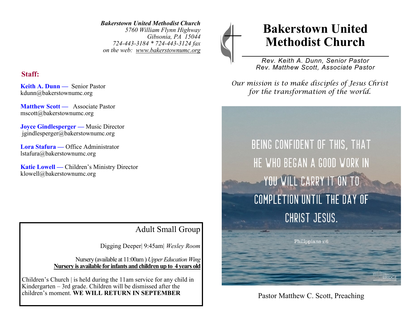*Bakerstown United Methodist Church 5760 William Flynn Highway Gibsonia, PA 15044 724-443-3184 \* 724-443-3124 fax on the web: www.bakerstownumc.org*

### **Staff:**

**Keith A. Dunn —** Senior Pastor kdunn@bakerstownumc.org

**Matthew Scott —** Associate Pastor mscott@bakerstownumc.org

**Joyce Gindlesperger —** Music Director jgindlesperger@bakerstownumc.org

**Lora Stafura —** Office Administrator lstafura@bakerstownumc.org

**Katie Lowell —** Children's Ministry Director klowell@bakerstownumc.org

# Adult Small Group

Digging Deeper| 9:45am| *Wesley Room*

Nursery (available at 11:00am ) *Upper Education Wing* **Nursery is available for infants and children up to 4 years old** 

Children's Church | is held during the 11am service for any child in Kindergarten – 3rd grade. Children will be dismissed after the children's moment. WE WILL RETURN IN SEPTEMBER Pastor Matthew C. Scott, Preaching

# **Bakerstown United Methodist Church**

*Rev. Keith A. Dunn, Senior Pastor Rev. Matthew Scott, Associate Pastor*

*Our mission is to make disciples of Jesus Christ for the transformation of the world.*

BEING CONFIDENT OF THIS, THAT HE WHO BEGAN A GOOD WORK IN YOU WILL CARRY IT ON TO COMPLETION UNTIL THE DAY OF CHRIST JESUS.

Philippians 1:6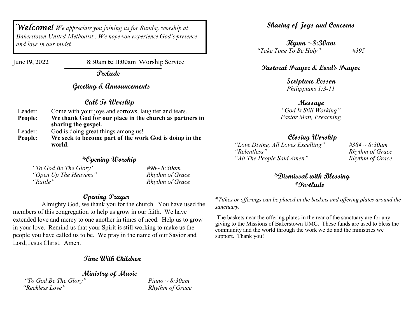*Welcome! We appreciate you joining us for Sunday worship at Bakerstown United Methodist . We hope you experience God's presence and love in our midst.* 

**June 19, 2022 8:30am & 11:00am Worship Service**

 **Prelude**

#### **Greeting & Announcements**

#### **Call To Worship**

| Come with your joys and sorrows, laughter and tears.             |
|------------------------------------------------------------------|
| We thank God for our place in the church as partners in          |
| sharing the gospel.                                              |
| God is doing great things among us!                              |
| We seek to become part of the work God is doing in the<br>world. |
|                                                                  |

#### **\*Opening Worship**

| "To God Be The Glory" | #98~ 8:30am     |
|-----------------------|-----------------|
| "Open Up The Heavens" | Rhythm of Grace |
| "Rattle"              | Rhythm of Grace |

#### **Opening Prayer**

 Almighty God, we thank you for the church. You have used the members of this congregation to help us grow in our faith. We have extended love and mercy to one another in times of need. Help us to grow in your love. Remind us that your Spirit is still working to make us the people you have called us to be. We pray in the name of our Savior and Lord, Jesus Christ. Amen.

#### **Time With Children**

**Ministry of Music** 

*"To God Be The Glory" Piano ~ 8:30am "Reckless Love" Rhythm of Grace*

**Sharing of Joys and Concerns** 

**Hymn ~8:30am** *"Take Time To Be Holy" #395*

#### **Pastoral Prayer & Lord's Prayer**

**Scripture Lesson** *Philippians 1:3-11*

**Message** *"God Is Still Working" Pastor Matt, Preaching*  

#### **Closing Worship**

*"Love Divine, All Loves Excelling" #384 ~ 8:30am "All The People Said Amen" Rhythm of Grace*

 $R$ *hythm of Grace* 

**\*Dismissal with Blessing \*Postlude**

\**Tithes or offerings can be placed in the baskets and offering plates around the sanctuary.* 

The baskets near the offering plates in the rear of the sanctuary are for any giving to the Missions of Bakerstown UMC. These funds are used to bless the community and the world through the work we do and the ministries we support. Thank you!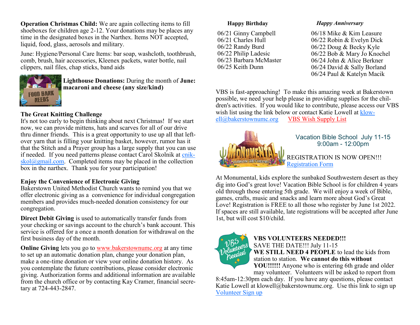**Operation Christmas Child:** We are again collecting items to fill shoeboxes for children age 2-12. Your donations may be places any time in the designated boxes in the Narthex. Items NOT accepted, liquid, food, glass, aerosols and military.

June: Hygiene/Personal Care Items: bar soap, washcloth, toothbrush, comb, brush, hair accessories, Kleenex packets, water bottle, nail clippers, nail files, chap sticks, band aids



**Lighthouse Donations:** During the month of **June: macaroni and cheese (any size/kind)**

#### **The Great Knitting Challenge**

It's not too early to begin thinking about next Christmas! If we start now, we can provide mittens, hats and scarves for all of our drive thru dinner friends. This is a great opportunity to use up all that leftover yarn that is filling your knitting basket, however, rumor has it that the Stitch and a Prayer group has a large supply that you can use if needed. If you need patterns please contact Carol Skolnik at [cnik](mailto:cnikskol@gmail.com) $skol@gmail.com$ . Completed items may be placed in the collection box in the narthex. Thank you for your participation!

#### **Enjoy the Convenience of Electronic Giving**

Bakerstown United Methodist Church wants to remind you that we offer electronic giving as a convenience for individual congregation members and provides much-needed donation consistency for our congregation.

**Direct Debit Giving** is used to automatically transfer funds from your checking or savings account to the church's bank account. This service is offered for a once a month donation for withdrawal on the first business day of the month.

**Online Giving** lets you go to www.bakerstownume.org at any time to set up an automatic donation plan, change your donation plan, make a one-time donation or view your online donation history. As you contemplate the future contributions, please consider electronic giving. Authorization forms and additional information are available from the church office or by contacting Kay Cramer, financial secretary at 724-443-2847.

#### **Happy Birthday**

06/21 Ginny Campbell 06/21 Charles Hull 06/22 Randy Burd 06/22 Philip Ladesic 06/23 Barbara McMaster 06/25 Keith Dunn

#### *Happy Anniversary*

06/18 Mike & Kim Leasure 06/22 Robin & Evelyn Dick 06/22 Doug & Becky Kyle 06/22 Bob & Mary Jo Knochel 06/24 John & Alice Berkner 06/24 David & Sally Borland 06/24 Paul & Katelyn Macik

VBS is fast-approaching! To make this amazing week at Bakerstown possible, we need your help please in providing supplies for the children's activities. If you would like to contribute, please access our VBS wish list using the link below or contact Katie Lowell at [klow](mailto:klowell@bakerstownumc.org)[ell@bakerstownumc.org](mailto:klowell@bakerstownumc.org) [VBS Wish Supply List](https://www.signupgenius.com/go/30E0A4FAFAE2AAAFD0-vbswish)



#### Vacation Bible School July 11-15 9:00am - 12:00pm

REGISTRATION IS NOW OPEN!!! [Registration Form](https://docs.google.com/forms/d/1lc6N_4-LUArAn_Azi1ibuICEj4_7VZcFBqnNMzshcfg/viewform?ts=6232146e&edit_requested=true)

At Monumental, kids explore the sunbaked Southwestern desert as they dig into God's great love! Vacation Bible School is for children 4 years old through those entering 5th grade. We will enjoy a week of Bible, games, crafts, music and snacks and learn more about God's Great Love! Registration is FREE to all those who register by June 1st 2022. If spaces are still available, late registrations will be accepted after June 1st, but will cost \$10/child.



#### **VBS VOLUNTEERS NEEDED!!!**  SAVE THE DATE!!! July 11-15 **WE STILL NEED 4 PEOPLE** to lead the kids from station to station. **We cannot do this without**

**YOU!!!!!!** Anyone who is entering 6th grade and older may volunteer. Volunteers will be asked to report from

8:45am-12:30pm each day. If you have any questions, please contact Katie Lowell at klowell@bakerstownumc.org. Use this link to sign up [Volunteer Sign up](https://www.signupgenius.com/go/30e0a4fafae2aaafd0-vbs2022)